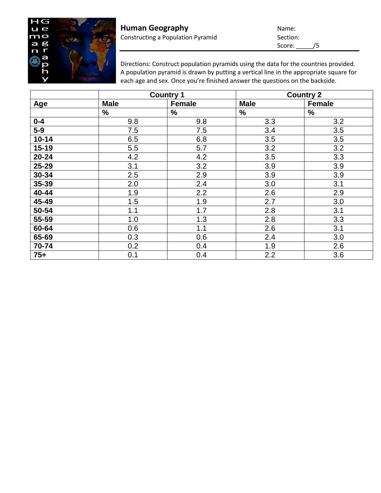

Directions: Construct population pyramids using the data for the countries provided. A population pyramid is drawn by putting a vertical line in the appropriate square for each age and sex. Once you're finished answer the questions on the backside.

|           | <b>Country 1</b> |               | <b>Country 2</b> |               |
|-----------|------------------|---------------|------------------|---------------|
| Age       | <b>Male</b>      | <b>Female</b> | <b>Male</b>      | <b>Female</b> |
|           | $\%$             | $\%$          | $\%$             | %             |
| $0 - 4$   | 9.8              | 9.8           | 3.3              | 3.2           |
| $5-9$     | 7.5              | 7.5           | 3.4              | 3.5           |
| $10 - 14$ | 6.5              | 6.8           | 3.5              | 3.5           |
| $15 - 19$ | 5.5              | 5.7           | 3.2              | 3.2           |
| $20 - 24$ | 4.2              | 4.2           | 3.5              | 3.3           |
| 25-29     | 3.1              | 3.2           | 3.9              | 3.9           |
| 30-34     | 2.5              | 2.9           | 3.9              | 3.9           |
| 35-39     | 2.0              | 2.4           | 3.0              | 3.1           |
| 40-44     | 1.9              | 2.2           | 2.6              | 2.9           |
| 45-49     | 1.5              | 1.9           | 2.7              | 3.0           |
| 50-54     | 1.1              | 1.7           | 2.8              | 3.1           |
| 55-59     | 1.0              | 1.3           | 2.8              | 3.3           |
| 60-64     | 0.6              | 1.1           | 2.6              | 3.1           |
| 65-69     | 0.3              | 0.6           | 2.4              | 3.0           |
| 70-74     | 0.2              | 0.4           | 1.9              | 2.6           |
| $75+$     | 0.1              | 0.4           | 2.2              | 3.6           |